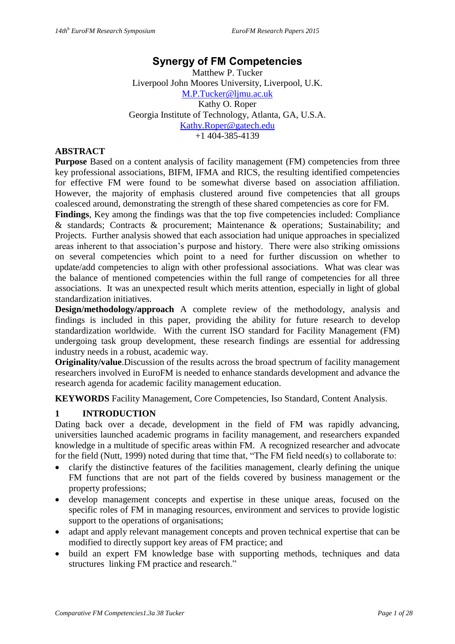# **Synergy of FM Competencies**

Matthew P. Tucker Liverpool John Moores University, Liverpool, U.K. [M.P.Tucker@ljmu.ac.uk](mailto:M.P.Tucker@ljmu.ac.uk) Kathy O. Roper Georgia Institute of Technology, Atlanta, GA, U.S.A. [Kathy.Roper@gatech.edu](mailto:Kathy.Roper@gatech.edu) +1 404-385-4139

#### **ABSTRACT**

**Purpose** Based on a content analysis of facility management (FM) competencies from three key professional associations, BIFM, IFMA and RICS, the resulting identified competencies for effective FM were found to be somewhat diverse based on association affiliation. However, the majority of emphasis clustered around five competencies that all groups coalesced around, demonstrating the strength of these shared competencies as core for FM.

**Findings**, Key among the findings was that the top five competencies included: Compliance & standards; Contracts & procurement; Maintenance & operations; Sustainability; and Projects. Further analysis showed that each association had unique approaches in specialized areas inherent to that association's purpose and history. There were also striking omissions on several competencies which point to a need for further discussion on whether to update/add competencies to align with other professional associations. What was clear was the balance of mentioned competencies within the full range of competencies for all three associations. It was an unexpected result which merits attention, especially in light of global standardization initiatives.

**Design/methodology/approach** A complete review of the methodology, analysis and findings is included in this paper, providing the ability for future research to develop standardization worldwide. With the current ISO standard for Facility Management (FM) undergoing task group development, these research findings are essential for addressing industry needs in a robust, academic way.

**Originality/value**.Discussion of the results across the broad spectrum of facility management researchers involved in EuroFM is needed to enhance standards development and advance the research agenda for academic facility management education.

**KEYWORDS** Facility Management, Core Competencies, Iso Standard, Content Analysis.

# **1 INTRODUCTION**

Dating back over a decade, development in the field of FM was rapidly advancing, universities launched academic programs in facility management, and researchers expanded knowledge in a multitude of specific areas within FM. A recognized researcher and advocate for the field (Nutt, 1999) noted during that time that, "The FM field need(s) to collaborate to:

- clarify the distinctive features of the facilities management, clearly defining the unique FM functions that are not part of the fields covered by business management or the property professions;
- develop management concepts and expertise in these unique areas, focused on the specific roles of FM in managing resources, environment and services to provide logistic support to the operations of organisations;
- adapt and apply relevant management concepts and proven technical expertise that can be modified to directly support key areas of FM practice; and
- build an expert FM knowledge base with supporting methods, techniques and data structures linking FM practice and research."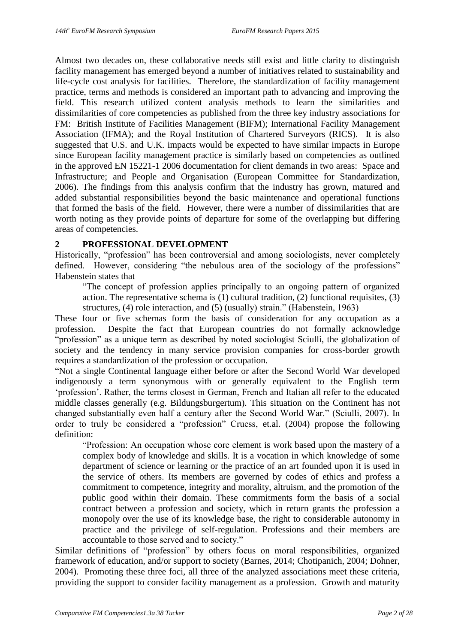Almost two decades on, these collaborative needs still exist and little clarity to distinguish facility management has emerged beyond a number of initiatives related to sustainability and life-cycle cost analysis for facilities. Therefore, the standardization of facility management practice, terms and methods is considered an important path to advancing and improving the field. This research utilized content analysis methods to learn the similarities and dissimilarities of core competencies as published from the three key industry associations for FM: British Institute of Facilities Management (BIFM); International Facility Management Association (IFMA); and the Royal Institution of Chartered Surveyors (RICS). It is also suggested that U.S. and U.K. impacts would be expected to have similar impacts in Europe since European facility management practice is similarly based on competencies as outlined in the approved EN 15221-1 2006 documentation for client demands in two areas: Space and Infrastructure; and People and Organisation (European Committee for Standardization, 2006). The findings from this analysis confirm that the industry has grown, matured and added substantial responsibilities beyond the basic maintenance and operational functions that formed the basis of the field. However, there were a number of dissimilarities that are worth noting as they provide points of departure for some of the overlapping but differing areas of competencies.

#### **2 PROFESSIONAL DEVELOPMENT**

Historically, "profession" has been controversial and among sociologists, never completely defined. However, considering "the nebulous area of the sociology of the professions" Habenstein states that

"The concept of profession applies principally to an ongoing pattern of organized action. The representative schema is (1) cultural tradition, (2) functional requisites, (3) structures, (4) role interaction, and (5) (usually) strain." (Habenstein, 1963)

These four or five schemas form the basis of consideration for any occupation as a profession. Despite the fact that European countries do not formally acknowledge "profession" as a unique term as described by noted sociologist Sciulli, the globalization of society and the tendency in many service provision companies for cross-border growth requires a standardization of the profession or occupation.

"Not a single Continental language either before or after the Second World War developed indigenously a term synonymous with or generally equivalent to the English term 'profession'. Rather, the terms closest in German, French and Italian all refer to the educated middle classes generally (e.g. Bildungsburgertum). This situation on the Continent has not changed substantially even half a century after the Second World War." (Sciulli, 2007). In order to truly be considered a "profession" Cruess, et.al. (2004) propose the following definition:

"Profession: An occupation whose core element is work based upon the mastery of a complex body of knowledge and skills. It is a vocation in which knowledge of some department of science or learning or the practice of an art founded upon it is used in the service of others. Its members are governed by codes of ethics and profess a commitment to competence, integrity and morality, altruism, and the promotion of the public good within their domain. These commitments form the basis of a social contract between a profession and society, which in return grants the profession a monopoly over the use of its knowledge base, the right to considerable autonomy in practice and the privilege of self-regulation. Professions and their members are accountable to those served and to society."

Similar definitions of "profession" by others focus on moral responsibilities, organized framework of education, and/or support to society (Barnes, 2014; Chotipanich, 2004; Dohner, 2004). Promoting these three foci, all three of the analyzed associations meet these criteria, providing the support to consider facility management as a profession. Growth and maturity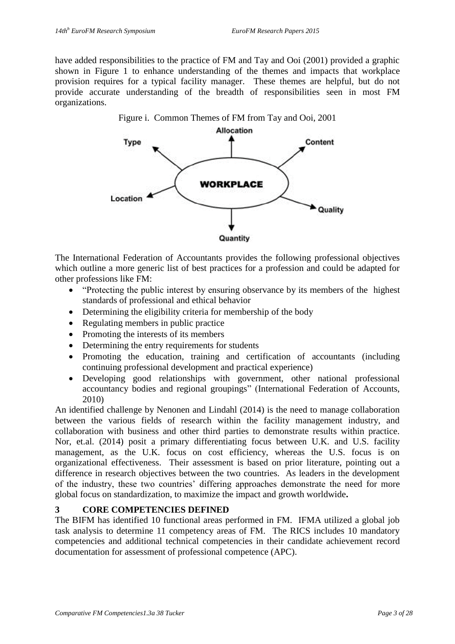have added responsibilities to the practice of FM and Tay and Ooi (2001) provided a graphic shown in Figure 1 to enhance understanding of the themes and impacts that workplace provision requires for a typical facility manager. These themes are helpful, but do not provide accurate understanding of the breadth of responsibilities seen in most FM organizations.



The International Federation of Accountants provides the following professional objectives which outline a more generic list of best practices for a profession and could be adapted for other professions like FM:

- "Protecting the public interest by ensuring observance by its members of the highest standards of professional and ethical behavior
- Determining the eligibility criteria for membership of the body
- Regulating members in public practice
- Promoting the interests of its members
- Determining the entry requirements for students
- Promoting the education, training and certification of accountants (including continuing professional development and practical experience)
- Developing good relationships with government, other national professional accountancy bodies and regional groupings" (International Federation of Accounts, 2010)

An identified challenge by Nenonen and Lindahl (2014) is the need to manage collaboration between the various fields of research within the facility management industry, and collaboration with business and other third parties to demonstrate results within practice. Nor, et.al. (2014) posit a primary differentiating focus between U.K. and U.S. facility management, as the U.K. focus on cost efficiency, whereas the U.S. focus is on organizational effectiveness. Their assessment is based on prior literature, pointing out a difference in research objectives between the two countries. As leaders in the development of the industry, these two countries' differing approaches demonstrate the need for more global focus on standardization, to maximize the impact and growth worldwide**.** 

# **3 CORE COMPETENCIES DEFINED**

The BIFM has identified 10 functional areas performed in FM. IFMA utilized a global job task analysis to determine 11 competency areas of FM. The RICS includes 10 mandatory competencies and additional technical competencies in their candidate achievement record documentation for assessment of professional competence (APC).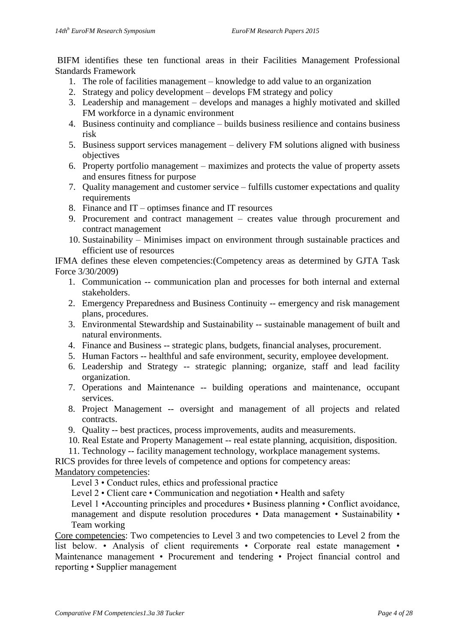BIFM identifies these ten functional areas in their Facilities Management Professional Standards Framework

- 1. The role of facilities management knowledge to add value to an organization
- 2. Strategy and policy development develops FM strategy and policy
- 3. Leadership and management develops and manages a highly motivated and skilled FM workforce in a dynamic environment
- 4. Business continuity and compliance builds business resilience and contains business risk
- 5. Business support services management delivery FM solutions aligned with business objectives
- 6. Property portfolio management maximizes and protects the value of property assets and ensures fitness for purpose
- 7. Quality management and customer service fulfills customer expectations and quality requirements
- 8. Finance and IT optimses finance and IT resources
- 9. Procurement and contract management creates value through procurement and contract management
- 10. Sustainability Minimises impact on environment through sustainable practices and efficient use of resources

IFMA defines these eleven competencies:(Competency areas as determined by GJTA Task Force 3/30/2009)

- 1. Communication -- communication plan and processes for both internal and external stakeholders.
- 2. Emergency Preparedness and Business Continuity -- emergency and risk management plans, procedures.
- 3. Environmental Stewardship and Sustainability -- sustainable management of built and natural environments.
- 4. Finance and Business -- strategic plans, budgets, financial analyses, procurement.
- 5. Human Factors -- healthful and safe environment, security, employee development.
- 6. Leadership and Strategy -- strategic planning; organize, staff and lead facility organization.
- 7. Operations and Maintenance -- building operations and maintenance, occupant services.
- 8. Project Management -- oversight and management of all projects and related contracts.
- 9. Quality -- best practices, process improvements, audits and measurements.
- 10. Real Estate and Property Management -- real estate planning, acquisition, disposition.
- 11. Technology -- facility management technology, workplace management systems.

RICS provides for three levels of competence and options for competency areas:

#### Mandatory competencies:

Level 3 • Conduct rules, ethics and professional practice

Level 2 • Client care • Communication and negotiation • Health and safety

Level 1 • Accounting principles and procedures • Business planning • Conflict avoidance, management and dispute resolution procedures • Data management • Sustainability • Team working

Core competencies: Two competencies to Level 3 and two competencies to Level 2 from the list below. • Analysis of client requirements • Corporate real estate management • Maintenance management • Procurement and tendering • Project financial control and reporting • Supplier management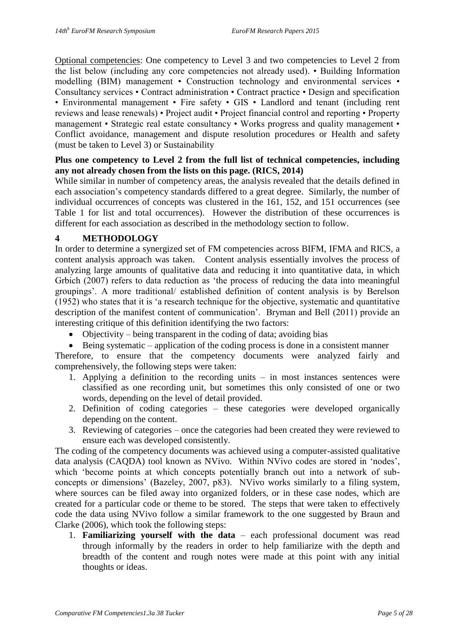Optional competencies: One competency to Level 3 and two competencies to Level 2 from the list below (including any core competencies not already used). • Building Information modelling (BIM) management • Construction technology and environmental services • Consultancy services • Contract administration • Contract practice • Design and specification • Environmental management • Fire safety • GIS • Landlord and tenant (including rent reviews and lease renewals) • Project audit • Project financial control and reporting • Property management • Strategic real estate consultancy • Works progress and quality management • Conflict avoidance, management and dispute resolution procedures or Health and safety (must be taken to Level 3) or Sustainability

#### **Plus one competency to Level 2 from the full list of technical competencies, including any not already chosen from the lists on this page. (RICS, 2014)**

While similar in number of competency areas, the analysis revealed that the details defined in each association's competency standards differed to a great degree. Similarly, the number of individual occurrences of concepts was clustered in the 161, 152, and 151 occurrences (see Table 1 for list and total occurrences). However the distribution of these occurrences is different for each association as described in the methodology section to follow.

# **4 METHODOLOGY**

In order to determine a synergized set of FM competencies across BIFM, IFMA and RICS, a content analysis approach was taken. Content analysis essentially involves the process of analyzing large amounts of qualitative data and reducing it into quantitative data, in which Grbich (2007) refers to data reduction as 'the process of reducing the data into meaningful groupings'. A more traditional/ established definition of content analysis is by Berelson (1952) who states that it is 'a research technique for the objective, systematic and quantitative description of the manifest content of communication'. Bryman and Bell (2011) provide an interesting critique of this definition identifying the two factors:

• Objectivity – being transparent in the coding of data; avoiding bias

 $\bullet$  Being systematic – application of the coding process is done in a consistent manner Therefore, to ensure that the competency documents were analyzed fairly and

comprehensively, the following steps were taken:

- 1. Applying a definition to the recording units in most instances sentences were classified as one recording unit, but sometimes this only consisted of one or two words, depending on the level of detail provided.
- 2. Definition of coding categories these categories were developed organically depending on the content.
- 3. Reviewing of categories once the categories had been created they were reviewed to ensure each was developed consistently.

The coding of the competency documents was achieved using a computer-assisted qualitative data analysis (CAQDA) tool known as NVivo. Within NVivo codes are stored in 'nodes', which 'become points at which concepts potentially branch out into a network of subconcepts or dimensions' (Bazeley, 2007, p83). NVivo works similarly to a filing system, where sources can be filed away into organized folders, or in these case nodes, which are created for a particular code or theme to be stored. The steps that were taken to effectively code the data using NVivo follow a similar framework to the one suggested by Braun and Clarke (2006), which took the following steps:

1. **Familiarizing yourself with the data** – each professional document was read through informally by the readers in order to help familiarize with the depth and breadth of the content and rough notes were made at this point with any initial thoughts or ideas.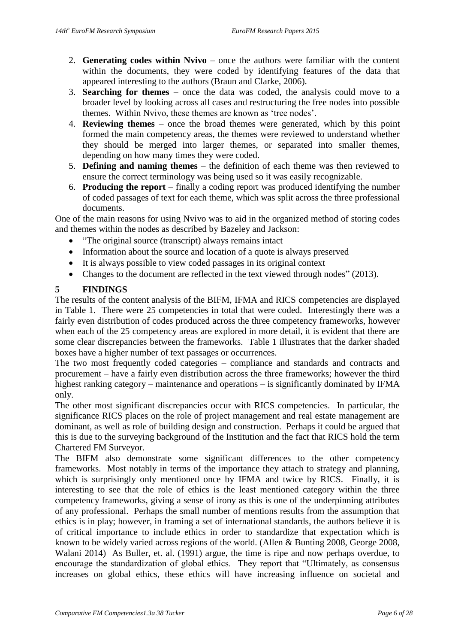- 2. **Generating codes within Nvivo** once the authors were familiar with the content within the documents, they were coded by identifying features of the data that appeared interesting to the authors (Braun and Clarke, 2006).
- 3. **Searching for themes** once the data was coded, the analysis could move to a broader level by looking across all cases and restructuring the free nodes into possible themes. Within Nvivo, these themes are known as 'tree nodes'.
- 4. **Reviewing themes** once the broad themes were generated, which by this point formed the main competency areas, the themes were reviewed to understand whether they should be merged into larger themes, or separated into smaller themes, depending on how many times they were coded.
- 5. **Defining and naming themes** the definition of each theme was then reviewed to ensure the correct terminology was being used so it was easily recognizable.
- 6. **Producing the report** finally a coding report was produced identifying the number of coded passages of text for each theme, which was split across the three professional documents.

One of the main reasons for using Nvivo was to aid in the organized method of storing codes and themes within the nodes as described by Bazeley and Jackson:

- "The original source (transcript) always remains intact
- Information about the source and location of a quote is always preserved
- It is always possible to view coded passages in its original context
- Changes to the document are reflected in the text viewed through nodes" (2013).

# **5 FINDINGS**

The results of the content analysis of the BIFM, IFMA and RICS competencies are displayed in Table 1. There were 25 competencies in total that were coded. Interestingly there was a fairly even distribution of codes produced across the three competency frameworks, however when each of the 25 competency areas are explored in more detail, it is evident that there are some clear discrepancies between the frameworks. Table 1 illustrates that the darker shaded boxes have a higher number of text passages or occurrences.

The two most frequently coded categories – compliance and standards and contracts and procurement – have a fairly even distribution across the three frameworks; however the third highest ranking category – maintenance and operations – is significantly dominated by IFMA only.

The other most significant discrepancies occur with RICS competencies. In particular, the significance RICS places on the role of project management and real estate management are dominant, as well as role of building design and construction. Perhaps it could be argued that this is due to the surveying background of the Institution and the fact that RICS hold the term Chartered FM Surveyor.

The BIFM also demonstrate some significant differences to the other competency frameworks. Most notably in terms of the importance they attach to strategy and planning, which is surprisingly only mentioned once by IFMA and twice by RICS. Finally, it is interesting to see that the role of ethics is the least mentioned category within the three competency frameworks, giving a sense of irony as this is one of the underpinning attributes of any professional. Perhaps the small number of mentions results from the assumption that ethics is in play; however, in framing a set of international standards, the authors believe it is of critical importance to include ethics in order to standardize that expectation which is known to be widely varied across regions of the world. (Allen & Bunting 2008, George 2008, Walani 2014) As Buller, et. al. (1991) argue, the time is ripe and now perhaps overdue, to encourage the standardization of global ethics. They report that "Ultimately, as consensus increases on global ethics, these ethics will have increasing influence on societal and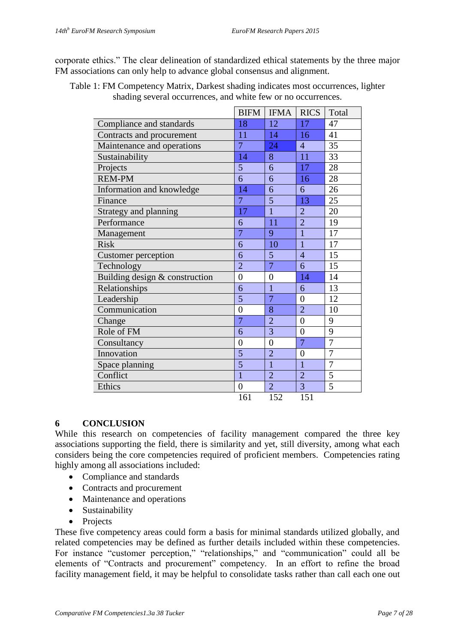corporate ethics." The clear delineation of standardized ethical statements by the three major FM associations can only help to advance global consensus and alignment.

|                                | <b>BIFM</b>    | <b>IFMA</b>    | <b>RICS</b>    | Total          |
|--------------------------------|----------------|----------------|----------------|----------------|
| Compliance and standards       | 18             | 12             | 17             | 47             |
| Contracts and procurement      | 11             | 14             | 16             | 41             |
| Maintenance and operations     | 7              | 24             | $\overline{4}$ | 35             |
| Sustainability                 | 14             | 8              | 11             | 33             |
| Projects                       | 5              | 6              | 17             | 28             |
| <b>REM-PM</b>                  | 6              | 6              | 16             | 28             |
| Information and knowledge      | 14             | 6              | 6              | 26             |
| Finance                        | $\overline{7}$ | 5              | 13             | 25             |
| Strategy and planning          | 17             | $\overline{1}$ | $\overline{2}$ | 20             |
| Performance                    | 6              | 11             | $\overline{2}$ | 19             |
| Management                     | $\overline{7}$ | 9              | $\mathbf{1}$   | 17             |
| <b>Risk</b>                    | 6              | 10             | $\mathbf{1}$   | 17             |
| Customer perception            | 6              | 5              | $\overline{4}$ | 15             |
| Technology                     | $\overline{2}$ | $\overline{7}$ | 6              | 15             |
| Building design & construction | $\overline{0}$ | $\overline{0}$ | 14             | 14             |
| Relationships                  | 6              | $\overline{1}$ | 6              | 13             |
| Leadership                     | 5              | $\overline{7}$ | $\overline{0}$ | 12             |
| Communication                  | $\overline{0}$ | 8              | $\overline{2}$ | 10             |
| Change                         | $\overline{7}$ | $\overline{2}$ | $\overline{0}$ | 9              |
| Role of FM                     | 6              | 3              | $\overline{0}$ | 9              |
| Consultancy                    | $\overline{0}$ | $\overline{0}$ | $\overline{7}$ | $\overline{7}$ |
| Innovation                     | 5              | $\overline{2}$ | $\overline{0}$ | $\overline{7}$ |
| Space planning                 | 5              | $\mathbf{1}$   | $\mathbf{1}$   | $\overline{7}$ |
| Conflict                       | $\overline{1}$ | $\overline{2}$ | $\overline{2}$ | 5              |
| Ethics                         | $\overline{0}$ | $\overline{2}$ | 3              | 5              |
|                                | 161            | 152            | 151            |                |

Table 1: FM Competency Matrix, Darkest shading indicates most occurrences, lighter shading several occurrences, and white few or no occurrences.

#### **6 CONCLUSION**

While this research on competencies of facility management compared the three key associations supporting the field, there is similarity and yet, still diversity, among what each considers being the core competencies required of proficient members. Competencies rating highly among all associations included:

- Compliance and standards
- Contracts and procurement
- Maintenance and operations
- Sustainability
- Projects

These five competency areas could form a basis for minimal standards utilized globally, and related competencies may be defined as further details included within these competencies. For instance "customer perception," "relationships," and "communication" could all be elements of "Contracts and procurement" competency. In an effort to refine the broad facility management field, it may be helpful to consolidate tasks rather than call each one out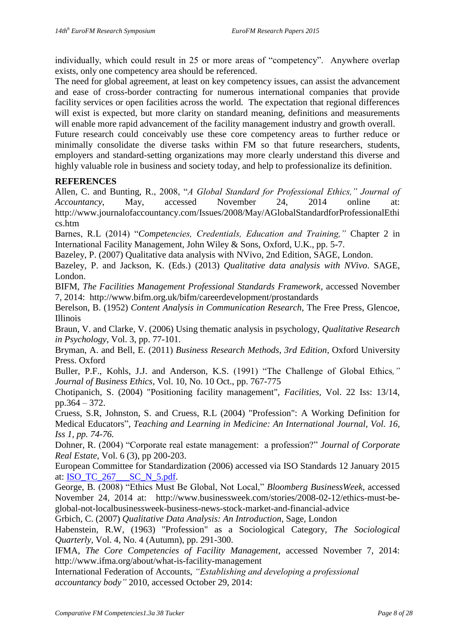individually, which could result in 25 or more areas of "competency". Anywhere overlap exists, only one competency area should be referenced.

The need for global agreement, at least on key competency issues, can assist the advancement and ease of cross-border contracting for numerous international companies that provide facility services or open facilities across the world. The expectation that regional differences will exist is expected, but more clarity on standard meaning, definitions and measurements will enable more rapid advancement of the facility management industry and growth overall.

Future research could conceivably use these core competency areas to further reduce or minimally consolidate the diverse tasks within FM so that future researchers, students, employers and standard-setting organizations may more clearly understand this diverse and highly valuable role in business and society today, and help to professionalize its definition.

# **REFERENCES**

Allen, C. and Bunting, R., 2008, "*A Global Standard for Professional Ethics," Journal of Accountancy,* May, accessed November 24, 2014 online at: http://www.journalofaccountancy.com/Issues/2008/May/AGlobalStandardforProfessionalEthi cs.htm

Barnes, R.L (2014) "*Competencies, Credentials, Education and Training,"* Chapter 2 in International Facility Management, John Wiley & Sons, Oxford, U.K., pp. 5-7.

Bazeley, P. (2007) Qualitative data analysis with NVivo, 2nd Edition, SAGE, London.

Bazeley, P. and Jackson, K. (Eds.) (2013) *Qualitative data analysis with NVivo*. SAGE, London.

BIFM, *The Facilities Management Professional Standards Framework*, accessed November 7, 2014: http://www.bifm.org.uk/bifm/careerdevelopment/prostandards

Berelson, B. (1952) *Content Analysis in Communication Research*, The Free Press, Glencoe, Illinois

Braun, V. and Clarke, V. (2006) Using thematic analysis in psychology, *Qualitative Research in Psychology*, Vol. 3, pp. 77-101.

Bryman, A. and Bell, E. (2011) *Business Research Methods, 3rd Edition*, Oxford University Press. Oxford

Buller, P.F., Kohls, J.J. and Anderson, K.S. (1991) "The Challenge of Global Ethics*," Journal of Business Ethics,* Vol. 10, No. 10 Oct., pp. 767-775

Chotipanich, S. (2004) "Positioning facility management", *Facilities,* Vol. 22 Iss: 13/14, pp.364 – 372.

Cruess, S.R, Johnston, S. and Cruess, R.L (2004) "Profession": A Working Definition for Medical Educators", *Teaching and Learning in Medicine: An International Journal, Vol. 16, Iss 1, pp. 74-76.*

Dohner, R. (2004) "Corporate real estate management: a profession?" *Journal of Corporate Real Estate*, Vol. 6 (3), pp 200-203.

European Committee for Standardization (2006) accessed via ISO Standards 12 January 2015 at: [ISO\\_TC\\_267\\_\\_\\_SC\\_N\\_5.pdf.](file:///C:/Users/KOR/Documents/ISO_TC_267___SC_N_5.pdf)

George, B. (2008) "Ethics Must Be Global, Not Local," *Bloomberg BusinessWeek*, accessed November 24, 2014 at: http://www.businessweek.com/stories/2008-02-12/ethics-must-beglobal-not-localbusinessweek-business-news-stock-market-and-financial-advice

Grbich, C. (2007) *Qualitative Data Analysis: An Introduction*, Sage, London

Habenstein, R.W, (1963) "Profession" as a Sociological Category, *The Sociological Quarterly*, Vol. 4, No. 4 (Autumn), pp. 291-300.

IFMA, *The Core Competencies of Facility Management*, accessed November 7, 2014: http://www.ifma.org/about/what-is-facility-management

International Federation of Accounts, *"Establishing and developing a professional accountancy body"* 2010, accessed October 29, 2014: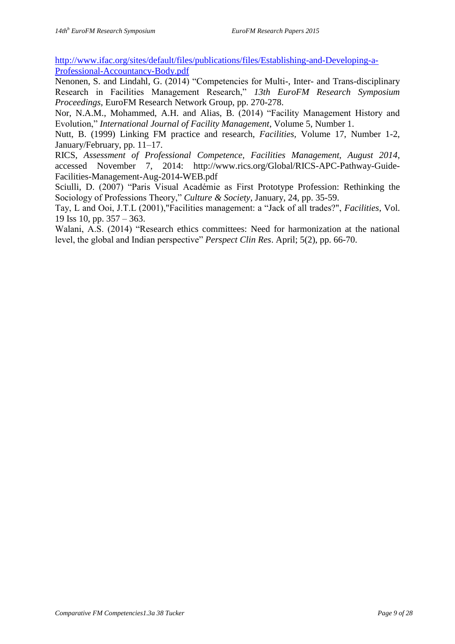[http://www.ifac.org/sites/default/files/publications/files/Establishing-and-Developing-a-](http://www.ifac.org/sites/default/files/publications/files/Establishing-and-Developing-a-Professional-Accountancy-Body.pdf)[Professional-Accountancy-Body.pdf](http://www.ifac.org/sites/default/files/publications/files/Establishing-and-Developing-a-Professional-Accountancy-Body.pdf)

Nenonen, S. and Lindahl, G. (2014) "Competencies for Multi-, Inter- and Trans-disciplinary Research in Facilities Management Research," *13th EuroFM Research Symposium Proceedings,* EuroFM Research Network Group, pp. 270-278.

Nor, N.A.M., Mohammed, A.H. and Alias, B. (2014) "Facility Management History and Evolution," *International Journal of Facility Management*, Volume 5, Number 1.

Nutt, B. (1999) Linking FM practice and research, *Facilities,* Volume 17, Number 1-2, January/February, pp. 11–17.

RICS, *Assessment of Professional Competence, Facilities Management, August 2014*, accessed November 7, 2014: http://www.rics.org/Global/RICS-APC-Pathway-Guide-Facilities-Management-Aug-2014-WEB.pdf

Sciulli, D. (2007) "Paris Visual Académie as First Prototype Profession: Rethinking the Sociology of Professions Theory," *Culture & Society*, January, 24, pp. 35-59.

Tay, L and Ooi, J.T.L (2001),"Facilities management: a "Jack of all trades?", *Facilities*, Vol. 19 Iss 10, pp. 357 – 363.

Walani, A.S. (2014) "Research ethics committees: Need for harmonization at the national level, the global and Indian perspective" *Perspect Clin Res*. April; 5(2), pp. 66-70.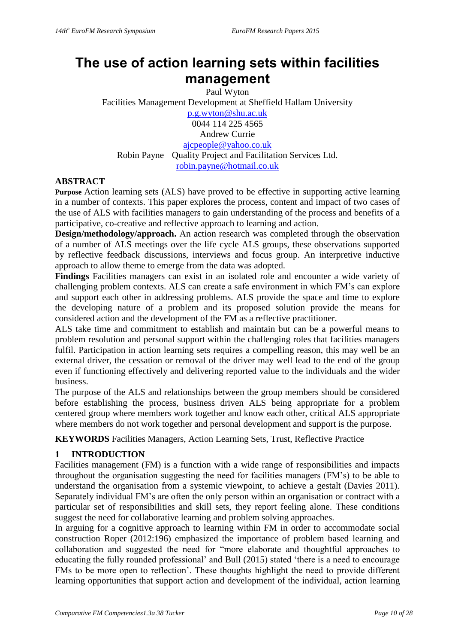# **The use of action learning sets within facilities management**

Paul Wyton Facilities Management Development at Sheffield Hallam University [p.g.wyton@shu.ac.uk](mailto:p.g.wyton@shu.ac.uk) 0044 114 225 4565 Andrew Currie [ajcpeople@yahoo.co.uk](mailto:ajcpeople@yahoo.co.uk) Robin Payne Quality Project and Facilitation Services Ltd. robin.payne@hotmail.co.uk

# **ABSTRACT**

**Purpose** Action learning sets (ALS) have proved to be effective in supporting active learning in a number of contexts. This paper explores the process, content and impact of two cases of the use of ALS with facilities managers to gain understanding of the process and benefits of a participative, co-creative and reflective approach to learning and action.

**Design/methodology/approach.** An action research was completed through the observation of a number of ALS meetings over the life cycle ALS groups, these observations supported by reflective feedback discussions, interviews and focus group. An interpretive inductive approach to allow theme to emerge from the data was adopted.

**Findings** Facilities managers can exist in an isolated role and encounter a wide variety of challenging problem contexts. ALS can create a safe environment in which FM's can explore and support each other in addressing problems. ALS provide the space and time to explore the developing nature of a problem and its proposed solution provide the means for considered action and the development of the FM as a reflective practitioner.

ALS take time and commitment to establish and maintain but can be a powerful means to problem resolution and personal support within the challenging roles that facilities managers fulfil. Participation in action learning sets requires a compelling reason, this may well be an external driver, the cessation or removal of the driver may well lead to the end of the group even if functioning effectively and delivering reported value to the individuals and the wider business.

The purpose of the ALS and relationships between the group members should be considered before establishing the process, business driven ALS being appropriate for a problem centered group where members work together and know each other, critical ALS appropriate where members do not work together and personal development and support is the purpose.

**KEYWORDS** Facilities Managers, Action Learning Sets, Trust, Reflective Practice

# **1 INTRODUCTION**

Facilities management (FM) is a function with a wide range of responsibilities and impacts throughout the organisation suggesting the need for facilities managers (FM's) to be able to understand the organisation from a systemic viewpoint, to achieve a gestalt (Davies 2011). Separately individual FM's are often the only person within an organisation or contract with a particular set of responsibilities and skill sets, they report feeling alone. These conditions suggest the need for collaborative learning and problem solving approaches.

In arguing for a cognitive approach to learning within FM in order to accommodate social construction Roper (2012:196) emphasized the importance of problem based learning and collaboration and suggested the need for "more elaborate and thoughtful approaches to educating the fully rounded professional' and Bull (2015) stated 'there is a need to encourage FMs to be more open to reflection'. These thoughts highlight the need to provide different learning opportunities that support action and development of the individual, action learning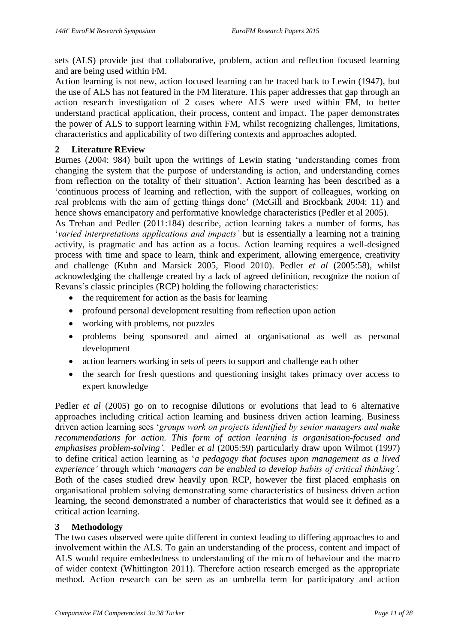sets (ALS) provide just that collaborative, problem, action and reflection focused learning and are being used within FM.

Action learning is not new, action focused learning can be traced back to Lewin (1947), but the use of ALS has not featured in the FM literature. This paper addresses that gap through an action research investigation of 2 cases where ALS were used within FM, to better understand practical application, their process, content and impact. The paper demonstrates the power of ALS to support learning within FM, whilst recognizing challenges, limitations, characteristics and applicability of two differing contexts and approaches adopted.

#### **2 Literature REview**

Burnes (2004: 984) built upon the writings of Lewin stating 'understanding comes from changing the system that the purpose of understanding is action, and understanding comes from reflection on the totality of their situation'. Action learning has been described as a 'continuous process of learning and reflection, with the support of colleagues, working on real problems with the aim of getting things done' (McGill and Brockbank 2004: 11) and hence shows emancipatory and performative knowledge characteristics (Pedler et al 2005).

As Trehan and Pedler (2011:184) describe, action learning takes a number of forms, has '*varied interpretations applications and impacts'* but is essentially a learning not a training activity, is pragmatic and has action as a focus. Action learning requires a well-designed process with time and space to learn, think and experiment, allowing emergence, creativity and challenge (Kuhn and Marsick 2005, Flood 2010). Pedler *et al* (2005:58), whilst acknowledging the challenge created by a lack of agreed definition, recognize the notion of Revans's classic principles (RCP) holding the following characteristics:

- $\bullet$  the requirement for action as the basis for learning
- profound personal development resulting from reflection upon action
- working with problems, not puzzles
- problems being sponsored and aimed at organisational as well as personal development
- action learners working in sets of peers to support and challenge each other
- the search for fresh questions and questioning insight takes primacy over access to expert knowledge

Pedler *et al* (2005) go on to recognise dilutions or evolutions that lead to 6 alternative approaches including critical action learning and business driven action learning. Business driven action learning sees '*groups work on projects identified by senior managers and make recommendations for action. This form of action learning is organisation-focused and emphasises problem-solving'.* Pedler *et al* (2005:59) particularly draw upon Wilmot (1997) to define critical action learning as '*a pedagogy that focuses upon management as a lived experience'* through which '*managers can be enabled to develop habits of critical thinking'.*  Both of the cases studied drew heavily upon RCP, however the first placed emphasis on organisational problem solving demonstrating some characteristics of business driven action learning, the second demonstrated a number of characteristics that would see it defined as a critical action learning.

# **3 Methodology**

The two cases observed were quite different in context leading to differing approaches to and involvement within the ALS. To gain an understanding of the process, content and impact of ALS would require embededness to understanding of the micro of behaviour and the macro of wider context (Whittington 2011). Therefore action research emerged as the appropriate method. Action research can be seen as an umbrella term for participatory and action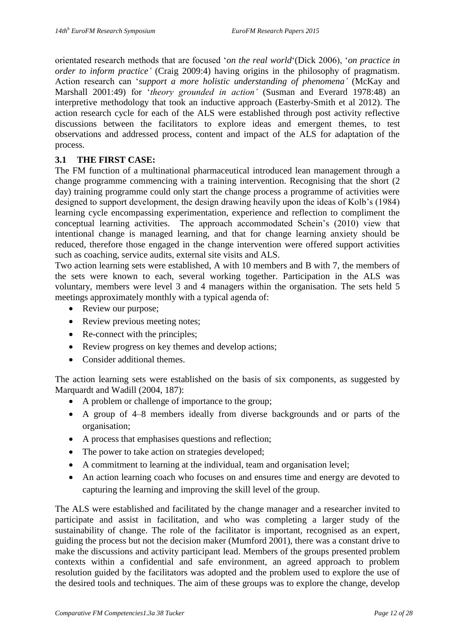orientated research methods that are focused '*on the real world*'(Dick 2006), '*on practice in order to inform practice'* (Craig 2009:4) having origins in the philosophy of pragmatism. Action research can '*support a more holistic understanding of phenomena'* (McKay and Marshall 2001:49) for '*theory grounded in action'* (Susman and Everard 1978:48) an interpretive methodology that took an inductive approach (Easterby-Smith et al 2012). The action research cycle for each of the ALS were established through post activity reflective discussions between the facilitators to explore ideas and emergent themes, to test observations and addressed process, content and impact of the ALS for adaptation of the process.

# **3.1 THE FIRST CASE:**

The FM function of a multinational pharmaceutical introduced lean management through a change programme commencing with a training intervention. Recognising that the short (2 day) training programme could only start the change process a programme of activities were designed to support development, the design drawing heavily upon the ideas of Kolb's (1984) learning cycle encompassing experimentation, experience and reflection to compliment the conceptual learning activities. The approach accommodated Schein's (2010) view that intentional change is managed learning, and that for change learning anxiety should be reduced, therefore those engaged in the change intervention were offered support activities such as coaching, service audits, external site visits and ALS.

Two action learning sets were established, A with 10 members and B with 7, the members of the sets were known to each, several working together. Participation in the ALS was voluntary, members were level 3 and 4 managers within the organisation. The sets held 5 meetings approximately monthly with a typical agenda of:

- Review our purpose;
- Review previous meeting notes;
- Re-connect with the principles;
- Review progress on key themes and develop actions;
- Consider additional themes

The action learning sets were established on the basis of six components, as suggested by Marquardt and Wadill (2004, 187):

- A problem or challenge of importance to the group;
- A group of 4–8 members ideally from diverse backgrounds and or parts of the organisation;
- A process that emphasises questions and reflection;
- The power to take action on strategies developed;
- A commitment to learning at the individual, team and organisation level;
- An action learning coach who focuses on and ensures time and energy are devoted to capturing the learning and improving the skill level of the group.

The ALS were established and facilitated by the change manager and a researcher invited to participate and assist in facilitation, and who was completing a larger study of the sustainability of change. The role of the facilitator is important, recognised as an expert, guiding the process but not the decision maker (Mumford 2001), there was a constant drive to make the discussions and activity participant lead. Members of the groups presented problem contexts within a confidential and safe environment, an agreed approach to problem resolution guided by the facilitators was adopted and the problem used to explore the use of the desired tools and techniques. The aim of these groups was to explore the change, develop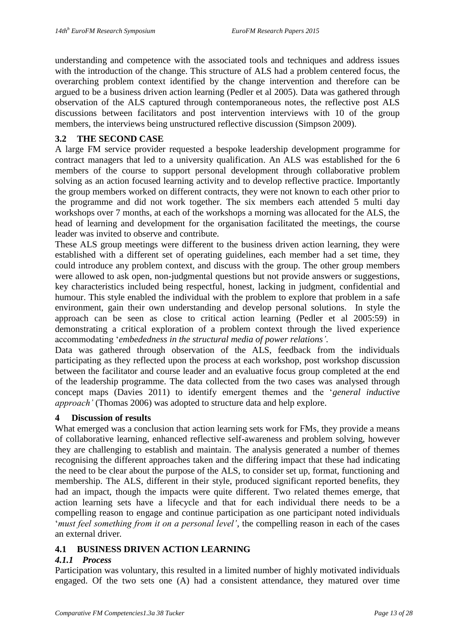understanding and competence with the associated tools and techniques and address issues with the introduction of the change. This structure of ALS had a problem centered focus, the overarching problem context identified by the change intervention and therefore can be argued to be a business driven action learning (Pedler et al 2005). Data was gathered through observation of the ALS captured through contemporaneous notes, the reflective post ALS discussions between facilitators and post intervention interviews with 10 of the group members, the interviews being unstructured reflective discussion (Simpson 2009).

# **3.2 THE SECOND CASE**

A large FM service provider requested a bespoke leadership development programme for contract managers that led to a university qualification. An ALS was established for the 6 members of the course to support personal development through collaborative problem solving as an action focused learning activity and to develop reflective practice. Importantly the group members worked on different contracts, they were not known to each other prior to the programme and did not work together. The six members each attended 5 multi day workshops over 7 months, at each of the workshops a morning was allocated for the ALS, the head of learning and development for the organisation facilitated the meetings, the course leader was invited to observe and contribute.

These ALS group meetings were different to the business driven action learning, they were established with a different set of operating guidelines, each member had a set time, they could introduce any problem context, and discuss with the group. The other group members were allowed to ask open, non-judgmental questions but not provide answers or suggestions, key characteristics included being respectful, honest, lacking in judgment, confidential and humour. This style enabled the individual with the problem to explore that problem in a safe environment, gain their own understanding and develop personal solutions. In style the approach can be seen as close to critical action learning (Pedler et al 2005:59) in demonstrating a critical exploration of a problem context through the lived experience accommodating '*embededness in the structural media of power relations'*.

Data was gathered through observation of the ALS, feedback from the individuals participating as they reflected upon the process at each workshop, post workshop discussion between the facilitator and course leader and an evaluative focus group completed at the end of the leadership programme. The data collected from the two cases was analysed through concept maps (Davies 2011) to identify emergent themes and the '*general inductive approach'* (Thomas 2006) was adopted to structure data and help explore.

# **4 Discussion of results**

What emerged was a conclusion that action learning sets work for FMs, they provide a means of collaborative learning, enhanced reflective self-awareness and problem solving, however they are challenging to establish and maintain. The analysis generated a number of themes recognising the different approaches taken and the differing impact that these had indicating the need to be clear about the purpose of the ALS, to consider set up, format, functioning and membership. The ALS, different in their style, produced significant reported benefits, they had an impact, though the impacts were quite different. Two related themes emerge, that action learning sets have a lifecycle and that for each individual there needs to be a compelling reason to engage and continue participation as one participant noted individuals '*must feel something from it on a personal level'*, the compelling reason in each of the cases an external driver*.*

# **4.1 BUSINESS DRIVEN ACTION LEARNING**

# *4.1.1 Process*

Participation was voluntary, this resulted in a limited number of highly motivated individuals engaged. Of the two sets one (A) had a consistent attendance, they matured over time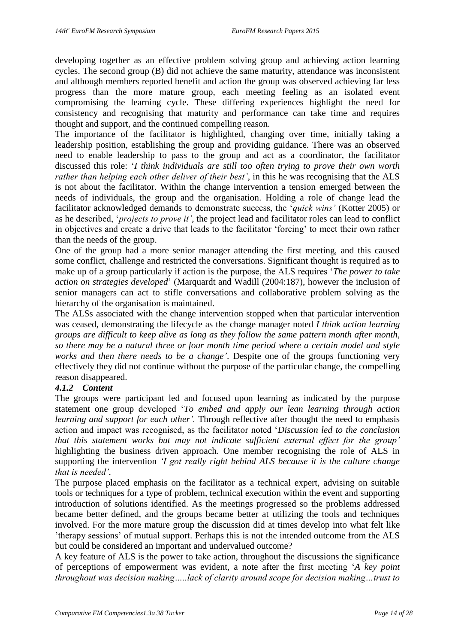developing together as an effective problem solving group and achieving action learning cycles. The second group (B) did not achieve the same maturity, attendance was inconsistent and although members reported benefit and action the group was observed achieving far less progress than the more mature group, each meeting feeling as an isolated event compromising the learning cycle. These differing experiences highlight the need for consistency and recognising that maturity and performance can take time and requires thought and support, and the continued compelling reason.

The importance of the facilitator is highlighted, changing over time, initially taking a leadership position, establishing the group and providing guidance. There was an observed need to enable leadership to pass to the group and act as a coordinator, the facilitator discussed this role: '*I think individuals are still too often trying to prove their own worth rather than helping each other deliver of their best'*, in this he was recognising that the ALS is not about the facilitator. Within the change intervention a tension emerged between the needs of individuals, the group and the organisation. Holding a role of change lead the facilitator acknowledged demands to demonstrate success, the '*quick wins'* (Kotter 2005) or as he described, '*projects to prove it'*, the project lead and facilitator roles can lead to conflict in objectives and create a drive that leads to the facilitator 'forcing' to meet their own rather than the needs of the group.

One of the group had a more senior manager attending the first meeting, and this caused some conflict, challenge and restricted the conversations. Significant thought is required as to make up of a group particularly if action is the purpose, the ALS requires '*The power to take action on strategies developed*' (Marquardt and Wadill (2004:187), however the inclusion of senior managers can act to stifle conversations and collaborative problem solving as the hierarchy of the organisation is maintained.

The ALSs associated with the change intervention stopped when that particular intervention was ceased, demonstrating the lifecycle as the change manager noted *I think action learning groups are difficult to keep alive as long as they follow the same pattern month after month, so there may be a natural three or four month time period where a certain model and style works and then there needs to be a change'*. Despite one of the groups functioning very effectively they did not continue without the purpose of the particular change, the compelling reason disappeared.

# *4.1.2 Content*

The groups were participant led and focused upon learning as indicated by the purpose statement one group developed '*To embed and apply our lean learning through action learning and support for each other'*. Through reflective after thought the need to emphasis action and impact was recognised, as the facilitator noted '*Discussion led to the conclusion that this statement works but may not indicate sufficient external effect for the group'* highlighting the business driven approach. One member recognising the role of ALS in supporting the intervention *'I got really right behind ALS because it is the culture change that is needed'.*

The purpose placed emphasis on the facilitator as a technical expert, advising on suitable tools or techniques for a type of problem, technical execution within the event and supporting introduction of solutions identified. As the meetings progressed so the problems addressed became better defined, and the groups became better at utilizing the tools and techniques involved. For the more mature group the discussion did at times develop into what felt like 'therapy sessions' of mutual support. Perhaps this is not the intended outcome from the ALS but could be considered an important and undervalued outcome?

A key feature of ALS is the power to take action, throughout the discussions the significance of perceptions of empowerment was evident, a note after the first meeting '*A key point throughout was decision making…..lack of clarity around scope for decision making…trust to*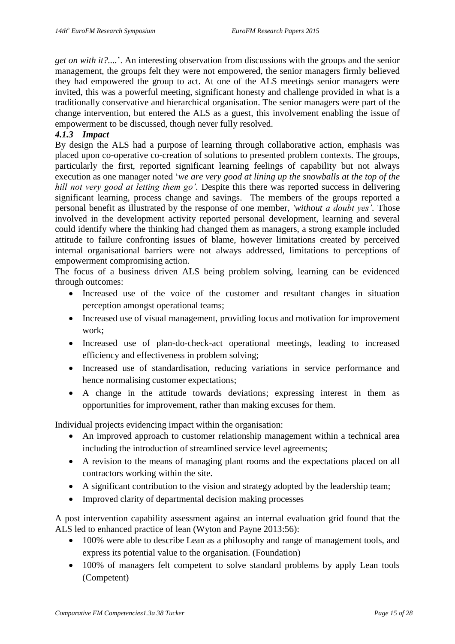*get on with it?....*'. An interesting observation from discussions with the groups and the senior management, the groups felt they were not empowered, the senior managers firmly believed they had empowered the group to act. At one of the ALS meetings senior managers were invited, this was a powerful meeting, significant honesty and challenge provided in what is a traditionally conservative and hierarchical organisation. The senior managers were part of the change intervention, but entered the ALS as a guest, this involvement enabling the issue of empowerment to be discussed, though never fully resolved.

# *4.1.3 Impact*

By design the ALS had a purpose of learning through collaborative action, emphasis was placed upon co-operative co-creation of solutions to presented problem contexts. The groups, particularly the first, reported significant learning feelings of capability but not always execution as one manager noted '*we are very good at lining up the snowballs at the top of the hill not very good at letting them go'.* Despite this there was reported success in delivering significant learning, process change and savings. The members of the groups reported a personal benefit as illustrated by the response of one member, *'without a doubt yes'.* Those involved in the development activity reported personal development, learning and several could identify where the thinking had changed them as managers, a strong example included attitude to failure confronting issues of blame, however limitations created by perceived internal organisational barriers were not always addressed, limitations to perceptions of empowerment compromising action.

The focus of a business driven ALS being problem solving, learning can be evidenced through outcomes:

- Increased use of the voice of the customer and resultant changes in situation perception amongst operational teams;
- Increased use of visual management, providing focus and motivation for improvement work;
- Increased use of plan-do-check-act operational meetings, leading to increased efficiency and effectiveness in problem solving;
- Increased use of standardisation, reducing variations in service performance and hence normalising customer expectations;
- A change in the attitude towards deviations; expressing interest in them as opportunities for improvement, rather than making excuses for them.

Individual projects evidencing impact within the organisation:

- An improved approach to customer relationship management within a technical area including the introduction of streamlined service level agreements;
- A revision to the means of managing plant rooms and the expectations placed on all contractors working within the site.
- A significant contribution to the vision and strategy adopted by the leadership team;
- Improved clarity of departmental decision making processes

A post intervention capability assessment against an internal evaluation grid found that the ALS led to enhanced practice of lean (Wyton and Payne 2013:56):

- 100% were able to describe Lean as a philosophy and range of management tools, and express its potential value to the organisation. (Foundation)
- 100% of managers felt competent to solve standard problems by apply Lean tools (Competent)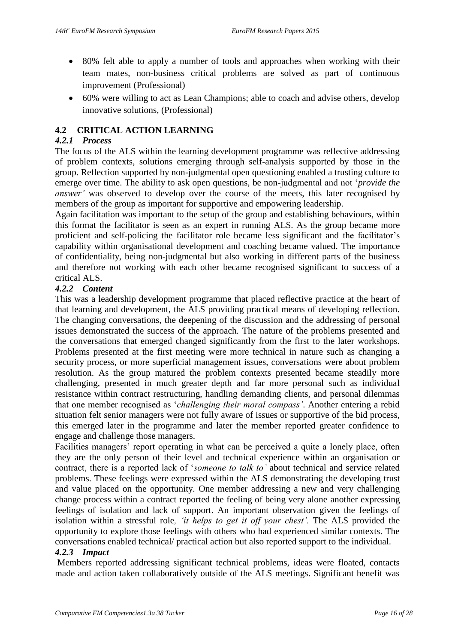- 80% felt able to apply a number of tools and approaches when working with their team mates, non-business critical problems are solved as part of continuous improvement (Professional)
- 60% were willing to act as Lean Champions; able to coach and advise others, develop innovative solutions, (Professional)

# **4.2 CRITICAL ACTION LEARNING**

#### *4.2.1 Process*

The focus of the ALS within the learning development programme was reflective addressing of problem contexts, solutions emerging through self-analysis supported by those in the group. Reflection supported by non-judgmental open questioning enabled a trusting culture to emerge over time. The ability to ask open questions, be non-judgmental and not '*provide the answer'* was observed to develop over the course of the meets, this later recognised by members of the group as important for supportive and empowering leadership.

Again facilitation was important to the setup of the group and establishing behaviours, within this format the facilitator is seen as an expert in running ALS. As the group became more proficient and self-policing the facilitator role became less significant and the facilitator's capability within organisational development and coaching became valued. The importance of confidentiality, being non-judgmental but also working in different parts of the business and therefore not working with each other became recognised significant to success of a critical ALS.

#### *4.2.2 Content*

This was a leadership development programme that placed reflective practice at the heart of that learning and development, the ALS providing practical means of developing reflection. The changing conversations, the deepening of the discussion and the addressing of personal issues demonstrated the success of the approach. The nature of the problems presented and the conversations that emerged changed significantly from the first to the later workshops. Problems presented at the first meeting were more technical in nature such as changing a security process, or more superficial management issues, conversations were about problem resolution. As the group matured the problem contexts presented became steadily more challenging, presented in much greater depth and far more personal such as individual resistance within contract restructuring, handling demanding clients, and personal dilemmas that one member recognised as '*challenging their moral compass'*. Another entering a rebid situation felt senior managers were not fully aware of issues or supportive of the bid process, this emerged later in the programme and later the member reported greater confidence to engage and challenge those managers.

Facilities managers' report operating in what can be perceived a quite a lonely place, often they are the only person of their level and technical experience within an organisation or contract, there is a reported lack of '*someone to talk to'* about technical and service related problems. These feelings were expressed within the ALS demonstrating the developing trust and value placed on the opportunity. One member addressing a new and very challenging change process within a contract reported the feeling of being very alone another expressing feelings of isolation and lack of support. An important observation given the feelings of isolation within a stressful role*, 'ít helps to get it off your chest'.* The ALS provided the opportunity to explore those feelings with others who had experienced similar contexts. The conversations enabled technical/ practical action but also reported support to the individual.

#### *4.2.3 Impact*

Members reported addressing significant technical problems, ideas were floated, contacts made and action taken collaboratively outside of the ALS meetings. Significant benefit was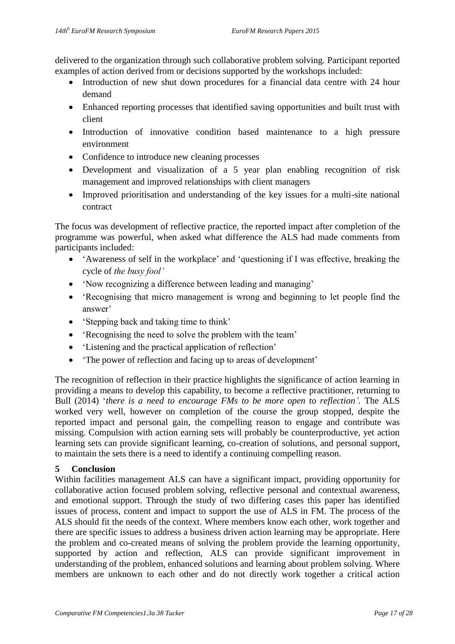delivered to the organization through such collaborative problem solving. Participant reported examples of action derived from or decisions supported by the workshops included:

- Introduction of new shut down procedures for a financial data centre with 24 hour demand
- Enhanced reporting processes that identified saving opportunities and built trust with client
- Introduction of innovative condition based maintenance to a high pressure environment
- Confidence to introduce new cleaning processes
- Development and visualization of a 5 year plan enabling recognition of risk management and improved relationships with client managers
- Improved prioritisation and understanding of the key issues for a multi-site national contract

The focus was development of reflective practice, the reported impact after completion of the programme was powerful, when asked what difference the ALS had made comments from participants included:

- 'Awareness of self in the workplace' and 'questioning if I was effective, breaking the cycle of *the busy fool'*
- 'Now recognizing a difference between leading and managing'
- 'Recognising that micro management is wrong and beginning to let people find the answer'
- 'Stepping back and taking time to think'
- 'Recognising the need to solve the problem with the team'
- 'Listening and the practical application of reflection'
- 'The power of reflection and facing up to areas of development'

The recognition of reflection in their practice highlights the significance of action learning in providing a means to develop this capability, to become a reflective practitioner, returning to Bull (2014) '*there is a need to encourage FMs to be more open to reflection'.* The ALS worked very well, however on completion of the course the group stopped, despite the reported impact and personal gain, the compelling reason to engage and contribute was missing. Compulsion with action earning sets will probably be counterproductive, yet action learning sets can provide significant learning, co-creation of solutions, and personal support, to maintain the sets there is a need to identify a continuing compelling reason.

# **5 Conclusion**

Within facilities management ALS can have a significant impact, providing opportunity for collaborative action focused problem solving, reflective personal and contextual awareness, and emotional support. Through the study of two differing cases this paper has identified issues of process, content and impact to support the use of ALS in FM. The process of the ALS should fit the needs of the context. Where members know each other, work together and there are specific issues to address a business driven action learning may be appropriate. Here the problem and co-created means of solving the problem provide the learning opportunity, supported by action and reflection, ALS can provide significant improvement in understanding of the problem, enhanced solutions and learning about problem solving. Where members are unknown to each other and do not directly work together a critical action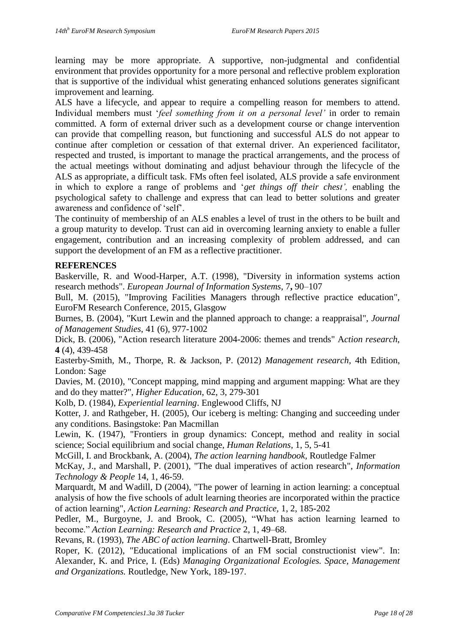learning may be more appropriate. A supportive, non-judgmental and confidential environment that provides opportunity for a more personal and reflective problem exploration that is supportive of the individual whist generating enhanced solutions generates significant improvement and learning.

ALS have a lifecycle, and appear to require a compelling reason for members to attend. Individual members must '*feel something from it on a personal level'* in order to remain committed. A form of external driver such as a development course or change intervention can provide that compelling reason, but functioning and successful ALS do not appear to continue after completion or cessation of that external driver. An experienced facilitator, respected and trusted, is important to manage the practical arrangements, and the process of the actual meetings without dominating and adjust behaviour through the lifecycle of the ALS as appropriate, a difficult task. FMs often feel isolated, ALS provide a safe environment in which to explore a range of problems and '*get things off their chest',* enabling the psychological safety to challenge and express that can lead to better solutions and greater awareness and confidence of 'self'.

The continuity of membership of an ALS enables a level of trust in the others to be built and a group maturity to develop. Trust can aid in overcoming learning anxiety to enable a fuller engagement, contribution and an increasing complexity of problem addressed, and can support the development of an FM as a reflective practitioner.

#### **REFERENCES**

Baskerville, R. and Wood-Harper, A.T. (1998), "Diversity in information systems action research methods". *European Journal of Information Systems*, 7**,** 90–107

Bull, M. (2015), "Improving Facilities Managers through reflective practice education", EuroFM Research Conference, 2015, Glasgow

Burnes, B. (2004), "Kurt Lewin and the planned approach to change: a reappraisal", *Journal of Management Studies*, 41 (6), 977-1002

Dick, B. (2006), "Action research literature 2004-2006: themes and trends" A*ction research*, **4** (4), 439-458

Easterby-Smith, M., Thorpe, R. & Jackson, P. (2012) *Management research,* 4th Edition, London: Sage

Davies, M. (2010), "Concept mapping, mind mapping and argument mapping: What are they and do they matter?", *Higher Education*, 62, 3, 279-301

Kolb, D. (1984), *Experiential learning*. Englewood Cliffs, NJ

Kotter, J. and Rathgeber, H. (2005), Our iceberg is melting: Changing and succeeding under any conditions. Basingstoke: Pan Macmillan

Lewin, K. (1947), "Frontiers in group dynamics: Concept, method and reality in social science; Social equilibrium and social change, *Human Relations*, 1, 5, 5-41

McGill, I. and Brockbank, A. (2004), *The action learning handbook,* Routledge Falmer

McKay, J., and Marshall, P. (2001), "The dual imperatives of action research", *Information Technology & People* 14, 1, 46-59.

Marquardt, M and Wadill, D (2004), "The power of learning in action learning: a conceptual analysis of how the five schools of adult learning theories are incorporated within the practice of action learning", *Action Learning: Research and Practice,* 1, 2, 185-202

Pedler, M., Burgoyne, J. and Brook, C. (2005), "What has action learning learned to become." *Action Learning: Research and Practice* 2, 1, 49–68.

Revans, R. (1993), *The ABC of action learning*. Chartwell-Bratt, Bromley

Roper, K. (2012), "Educational implications of an FM social constructionist view". In: Alexander, K. and Price, I. (Eds) *Managing Organizational Ecologies. Space, Management and Organizations.* Routledge, New York, 189-197.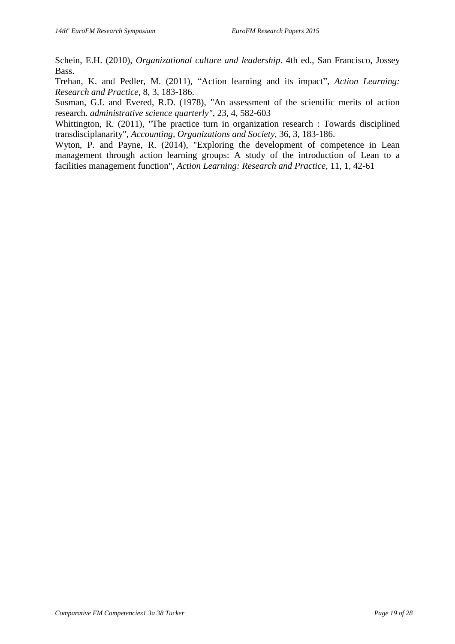Schein, E.H. (2010), *Organizational culture and leadership*. 4th ed., San Francisco, Jossey Bass.

Trehan, K. and Pedler, M. (2011), "Action learning and its impact", *Action Learning: Research and Practice,* 8, 3, 183-186.

Susman, G.I. and Evered, R.D. (1978), "An assessment of the scientific merits of action research. *administrative science quarterly"*, 23, 4, 582-603

Whittington, R. (2011), "The practice turn in organization research : Towards disciplined transdisciplanarity", *Accounting, Organizations and Society*, 36, 3, 183-186.

Wyton, P. and Payne, R. (2014), "Exploring the development of competence in Lean management through action learning groups: A study of the introduction of Lean to a facilities management function", *Action Learning: Research and Practice,* 11, 1, 42-61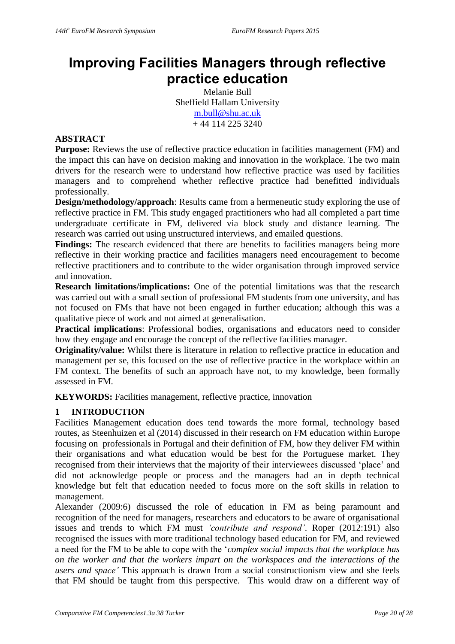# **Improving Facilities Managers through reflective practice education**

Melanie Bull Sheffield Hallam University [m.bull@shu.ac.uk](mailto:m.bull@shu.ac.uk)  $+ 44$  114 225 3240

# **ABSTRACT**

**Purpose:** Reviews the use of reflective practice education in facilities management (FM) and the impact this can have on decision making and innovation in the workplace. The two main drivers for the research were to understand how reflective practice was used by facilities managers and to comprehend whether reflective practice had benefitted individuals professionally.

**Design/methodology/approach**: Results came from a hermeneutic study exploring the use of reflective practice in FM. This study engaged practitioners who had all completed a part time undergraduate certificate in FM, delivered via block study and distance learning. The research was carried out using unstructured interviews, and emailed questions.

Findings: The research evidenced that there are benefits to facilities managers being more reflective in their working practice and facilities managers need encouragement to become reflective practitioners and to contribute to the wider organisation through improved service and innovation.

**Research limitations/implications:** One of the potential limitations was that the research was carried out with a small section of professional FM students from one university, and has not focused on FMs that have not been engaged in further education; although this was a qualitative piece of work and not aimed at generalisation.

**Practical implications**: Professional bodies, organisations and educators need to consider how they engage and encourage the concept of the reflective facilities manager.

**Originality/value:** Whilst there is literature in relation to reflective practice in education and management per se, this focused on the use of reflective practice in the workplace within an FM context. The benefits of such an approach have not, to my knowledge, been formally assessed in FM.

**KEYWORDS:** Facilities management, reflective practice, innovation

# **1 INTRODUCTION**

Facilities Management education does tend towards the more formal, technology based routes, as Steenhuizen et al (2014) discussed in their research on FM education within Europe focusing on professionals in Portugal and their definition of FM, how they deliver FM within their organisations and what education would be best for the Portuguese market. They recognised from their interviews that the majority of their interviewees discussed 'place' and did not acknowledge people or process and the managers had an in depth technical knowledge but felt that education needed to focus more on the soft skills in relation to management.

Alexander (2009:6) discussed the role of education in FM as being paramount and recognition of the need for managers, researchers and educators to be aware of organisational issues and trends to which FM must *'contribute and respond'*. Roper (2012:191) also recognised the issues with more traditional technology based education for FM, and reviewed a need for the FM to be able to cope with the '*complex social impacts that the workplace has on the worker and that the workers impart on the workspaces and the interactions of the users and space'* This approach is drawn from a social constructionism view and she feels that FM should be taught from this perspective. This would draw on a different way of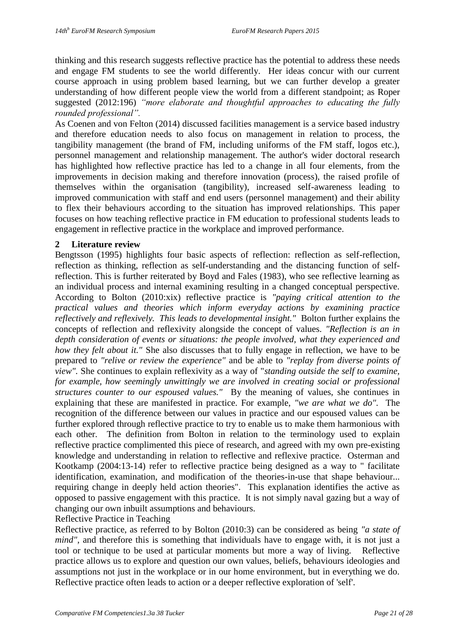thinking and this research suggests reflective practice has the potential to address these needs and engage FM students to see the world differently. Her ideas concur with our current course approach in using problem based learning, but we can further develop a greater understanding of how different people view the world from a different standpoint; as Roper suggested (2012:196) *"more elaborate and thoughtful approaches to educating the fully rounded professional".*

As Coenen and von Felton (2014) discussed facilities management is a service based industry and therefore education needs to also focus on management in relation to process, the tangibility management (the brand of FM, including uniforms of the FM staff, logos etc.), personnel management and relationship management. The author's wider doctoral research has highlighted how reflective practice has led to a change in all four elements, from the improvements in decision making and therefore innovation (process), the raised profile of themselves within the organisation (tangibility), increased self-awareness leading to improved communication with staff and end users (personnel management) and their ability to flex their behaviours according to the situation has improved relationships. This paper focuses on how teaching reflective practice in FM education to professional students leads to engagement in reflective practice in the workplace and improved performance.

#### **2 Literature review**

Bengtsson (1995) highlights four basic aspects of reflection: reflection as self-reflection, reflection as thinking, reflection as self-understanding and the distancing function of selfreflection. This is further reiterated by Boyd and Fales (1983), who see reflective learning as an individual process and internal examining resulting in a changed conceptual perspective. According to Bolton (2010:xix) reflective practice is *"paying critical attention to the practical values and theories which inform everyday actions by examining practice reflectively and reflexively. This leads to developmental insight."* Bolton further explains the concepts of reflection and reflexivity alongside the concept of values. *"Reflection is an in depth consideration of events or situations: the people involved, what they experienced and how they felt about it."* She also discusses that to fully engage in reflection, we have to be prepared to *"relive or review the experience"* and be able to *"replay from diverse points of view".* She continues to explain reflexivity as a way of "*standing outside the self to examine, for example, how seemingly unwittingly we are involved in creating social or professional structures counter to our espoused values."* By the meaning of values, she continues in explaining that these are manifested in practice. For example, *"we are what we do".* The recognition of the difference between our values in practice and our espoused values can be further explored through reflective practice to try to enable us to make them harmonious with each other. The definition from Bolton in relation to the terminology used to explain reflective practice complimented this piece of research, and agreed with my own pre-existing knowledge and understanding in relation to reflective and reflexive practice. Osterman and Kootkamp (2004:13-14) refer to reflective practice being designed as a way to " facilitate identification, examination, and modification of the theories-in-use that shape behaviour... requiring change in deeply held action theories". This explanation identifies the active as opposed to passive engagement with this practice. It is not simply naval gazing but a way of changing our own inbuilt assumptions and behaviours. Reflective Practice in Teaching

Reflective practice, as referred to by Bolton (2010:3) can be considered as being *"a state of mind"*, and therefore this is something that individuals have to engage with, it is not just a tool or technique to be used at particular moments but more a way of living. Reflective practice allows us to explore and question our own values, beliefs, behaviours ideologies and assumptions not just in the workplace or in our home environment, but in everything we do. Reflective practice often leads to action or a deeper reflective exploration of 'self'.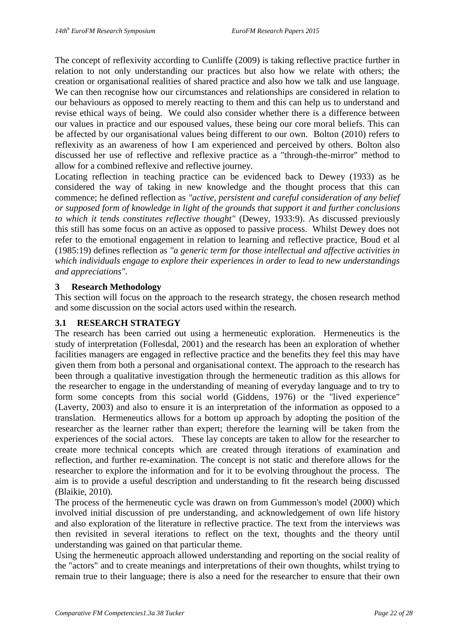The concept of reflexivity according to Cunliffe (2009) is taking reflective practice further in relation to not only understanding our practices but also how we relate with others; the creation or organisational realities of shared practice and also how we talk and use language. We can then recognise how our circumstances and relationships are considered in relation to our behaviours as opposed to merely reacting to them and this can help us to understand and revise ethical ways of being. We could also consider whether there is a difference between our values in practice and our espoused values, these being our core moral beliefs. This can be affected by our organisational values being different to our own. Bolton (2010) refers to reflexivity as an awareness of how I am experienced and perceived by others. Bolton also discussed her use of reflective and reflexive practice as a "through-the-mirror" method to allow for a combined reflexive and reflective journey.

Locating reflection in teaching practice can be evidenced back to Dewey (1933) as he considered the way of taking in new knowledge and the thought process that this can commence; he defined reflection as *"active, persistent and careful consideration of any belief or supposed form of knowledge in light of the grounds that support it and further conclusions to which it tends constitutes reflective thought"* (Dewey, 1933:9). As discussed previously this still has some focus on an active as opposed to passive process. Whilst Dewey does not refer to the emotional engagement in relation to learning and reflective practice, Boud et al (1985:19) defines reflection as *"a generic term for those intellectual and affective activities in which individuals engage to explore their experiences in order to lead to new understandings and appreciations".*

# **3 Research Methodology**

This section will focus on the approach to the research strategy, the chosen research method and some discussion on the social actors used within the research.

#### **3.1 RESEARCH STRATEGY**

The research has been carried out using a hermeneutic exploration. Hermeneutics is the study of interpretation (Follesdal, 2001) and the research has been an exploration of whether facilities managers are engaged in reflective practice and the benefits they feel this may have given them from both a personal and organisational context. The approach to the research has been through a qualitative investigation through the hermeneutic tradition as this allows for the researcher to engage in the understanding of meaning of everyday language and to try to form some concepts from this social world (Giddens, 1976) or the "lived experience" (Laverty, 2003) and also to ensure it is an interpretation of the information as opposed to a translation. Hermeneutics allows for a bottom up approach by adopting the position of the researcher as the learner rather than expert; therefore the learning will be taken from the experiences of the social actors. These lay concepts are taken to allow for the researcher to create more technical concepts which are created through iterations of examination and reflection, and further re-examination. The concept is not static and therefore allows for the researcher to explore the information and for it to be evolving throughout the process. The aim is to provide a useful description and understanding to fit the research being discussed (Blaikie, 2010).

The process of the hermeneutic cycle was drawn on from Gummesson's model (2000) which involved initial discussion of pre understanding, and acknowledgement of own life history and also exploration of the literature in reflective practice. The text from the interviews was then revisited in several iterations to reflect on the text, thoughts and the theory until understanding was gained on that particular theme.

Using the hermeneutic approach allowed understanding and reporting on the social reality of the "actors" and to create meanings and interpretations of their own thoughts, whilst trying to remain true to their language; there is also a need for the researcher to ensure that their own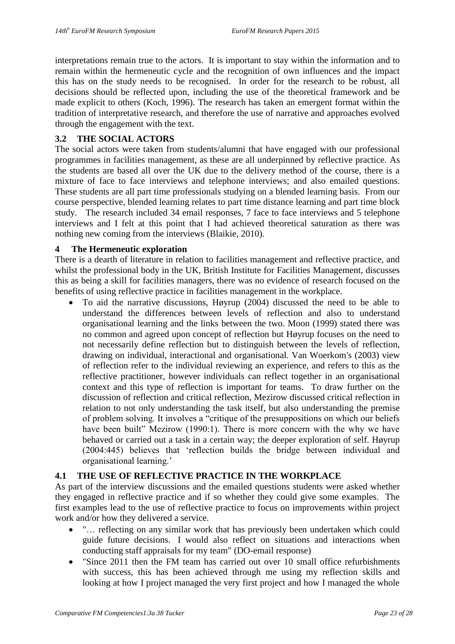interpretations remain true to the actors. It is important to stay within the information and to remain within the hermeneutic cycle and the recognition of own influences and the impact this has on the study needs to be recognised. In order for the research to be robust, all decisions should be reflected upon, including the use of the theoretical framework and be made explicit to others (Koch, 1996). The research has taken an emergent format within the tradition of interpretative research, and therefore the use of narrative and approaches evolved through the engagement with the text.

# **3.2 THE SOCIAL ACTORS**

The social actors were taken from students/alumni that have engaged with our professional programmes in facilities management, as these are all underpinned by reflective practice. As the students are based all over the UK due to the delivery method of the course, there is a mixture of face to face interviews and telephone interviews; and also emailed questions. These students are all part time professionals studying on a blended learning basis. From our course perspective, blended learning relates to part time distance learning and part time block study. The research included 34 email responses, 7 face to face interviews and 5 telephone interviews and I felt at this point that I had achieved theoretical saturation as there was nothing new coming from the interviews (Blaikie, 2010).

#### **4 The Hermeneutic exploration**

There is a dearth of literature in relation to facilities management and reflective practice, and whilst the professional body in the UK, British Institute for Facilities Management, discusses this as being a skill for facilities managers, there was no evidence of research focused on the benefits of using reflective practice in facilities management in the workplace.

 To aid the narrative discussions, Høyrup (2004) discussed the need to be able to understand the differences between levels of reflection and also to understand organisational learning and the links between the two. Moon (1999) stated there was no common and agreed upon concept of reflection but Høyrup focuses on the need to not necessarily define reflection but to distinguish between the levels of reflection, drawing on individual, interactional and organisational. Van Woerkom's (2003) view of reflection refer to the individual reviewing an experience, and refers to this as the reflective practitioner, however individuals can reflect together in an organisational context and this type of reflection is important for teams. To draw further on the discussion of reflection and critical reflection, Mezirow discussed critical reflection in relation to not only understanding the task itself, but also understanding the premise of problem solving. It involves a "critique of the presuppositions on which our beliefs have been built" Mezirow (1990:1). There is more concern with the why we have behaved or carried out a task in a certain way; the deeper exploration of self. Høyrup (2004:445) believes that 'reflection builds the bridge between individual and organisational learning.'

# **4.1 THE USE OF REFLECTIVE PRACTICE IN THE WORKPLACE**

As part of the interview discussions and the emailed questions students were asked whether they engaged in reflective practice and if so whether they could give some examples. The first examples lead to the use of reflective practice to focus on improvements within project work and/or how they delivered a service.

- "… reflecting on any similar work that has previously been undertaken which could guide future decisions. I would also reflect on situations and interactions when conducting staff appraisals for my team" (DO-email response)
- "Since 2011 then the FM team has carried out over 10 small office refurbishments with success, this has been achieved through me using my reflection skills and looking at how I project managed the very first project and how I managed the whole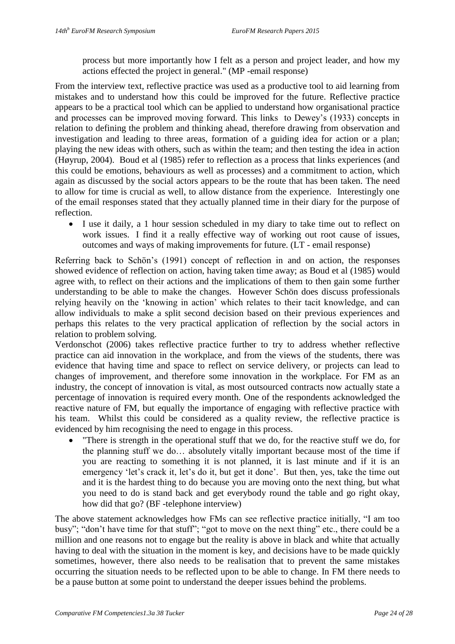process but more importantly how I felt as a person and project leader, and how my actions effected the project in general." (MP -email response)

From the interview text, reflective practice was used as a productive tool to aid learning from mistakes and to understand how this could be improved for the future. Reflective practice appears to be a practical tool which can be applied to understand how organisational practice and processes can be improved moving forward. This links to Dewey's (1933) concepts in relation to defining the problem and thinking ahead, therefore drawing from observation and investigation and leading to three areas, formation of a guiding idea for action or a plan; playing the new ideas with others, such as within the team; and then testing the idea in action (Høyrup, 2004). Boud et al (1985) refer to reflection as a process that links experiences (and this could be emotions, behaviours as well as processes) and a commitment to action, which again as discussed by the social actors appears to be the route that has been taken. The need to allow for time is crucial as well, to allow distance from the experience. Interestingly one of the email responses stated that they actually planned time in their diary for the purpose of reflection.

 I use it daily, a 1 hour session scheduled in my diary to take time out to reflect on work issues. I find it a really effective way of working out root cause of issues, outcomes and ways of making improvements for future. (LT - email response)

Referring back to Schön's (1991) concept of reflection in and on action, the responses showed evidence of reflection on action, having taken time away; as Boud et al (1985) would agree with, to reflect on their actions and the implications of them to then gain some further understanding to be able to make the changes. However Schön does discuss professionals relying heavily on the 'knowing in action' which relates to their tacit knowledge, and can allow individuals to make a split second decision based on their previous experiences and perhaps this relates to the very practical application of reflection by the social actors in relation to problem solving.

Verdonschot (2006) takes reflective practice further to try to address whether reflective practice can aid innovation in the workplace, and from the views of the students, there was evidence that having time and space to reflect on service delivery, or projects can lead to changes of improvement, and therefore some innovation in the workplace. For FM as an industry, the concept of innovation is vital, as most outsourced contracts now actually state a percentage of innovation is required every month. One of the respondents acknowledged the reactive nature of FM, but equally the importance of engaging with reflective practice with his team. Whilst this could be considered as a quality review, the reflective practice is evidenced by him recognising the need to engage in this process.

 "There is strength in the operational stuff that we do, for the reactive stuff we do, for the planning stuff we do… absolutely vitally important because most of the time if you are reacting to something it is not planned, it is last minute and if it is an emergency 'let's crack it, let's do it, but get it done'. But then, yes, take the time out and it is the hardest thing to do because you are moving onto the next thing, but what you need to do is stand back and get everybody round the table and go right okay, how did that go? (BF -telephone interview)

The above statement acknowledges how FMs can see reflective practice initially, "I am too busy"; "don't have time for that stuff"; "got to move on the next thing" etc., there could be a million and one reasons not to engage but the reality is above in black and white that actually having to deal with the situation in the moment is key, and decisions have to be made quickly sometimes, however, there also needs to be realisation that to prevent the same mistakes occurring the situation needs to be reflected upon to be able to change. In FM there needs to be a pause button at some point to understand the deeper issues behind the problems.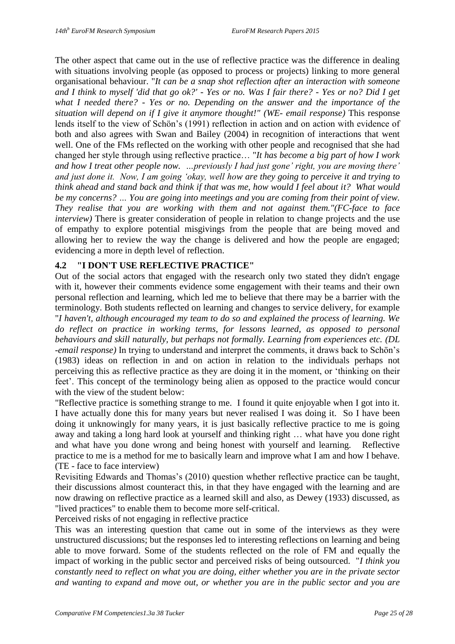The other aspect that came out in the use of reflective practice was the difference in dealing with situations involving people (as opposed to process or projects) linking to more general organisational behaviour. "*It can be a snap shot reflection after an interaction with someone and I think to myself 'did that go ok?' - Yes or no. Was I fair there? - Yes or no? Did I get what I needed there? - Yes or no. Depending on the answer and the importance of the situation will depend on if I give it anymore thought!" (WE- email response)* This response lends itself to the view of Schön's (1991) reflection in action and on action with evidence of both and also agrees with Swan and Bailey (2004) in recognition of interactions that went well. One of the FMs reflected on the working with other people and recognised that she had changed her style through using reflective practice… "*It has become a big part of how I work and how I treat other people now. …previously I had just gone' right, you are moving there' and just done it. Now, I am going 'okay, well how are they going to perceive it and trying to think ahead and stand back and think if that was me, how would I feel about it? What would be my concerns? … You are going into meetings and you are coming from their point of view. They realise that you are working with them and not against them."(FC-face to face interview)* There is greater consideration of people in relation to change projects and the use of empathy to explore potential misgivings from the people that are being moved and allowing her to review the way the change is delivered and how the people are engaged; evidencing a more in depth level of reflection.

# **4.2 "I DON'T USE REFLECTIVE PRACTICE"**

Out of the social actors that engaged with the research only two stated they didn't engage with it, however their comments evidence some engagement with their teams and their own personal reflection and learning, which led me to believe that there may be a barrier with the terminology. Both students reflected on learning and changes to service delivery, for example "*I haven't, although encouraged my team to do so and explained the process of learning. We do reflect on practice in working terms, for lessons learned, as opposed to personal behaviours and skill naturally, but perhaps not formally. Learning from experiences etc. (DL -email response)* In trying to understand and interpret the comments, it draws back to Schön's (1983) ideas on reflection in and on action in relation to the individuals perhaps not perceiving this as reflective practice as they are doing it in the moment, or 'thinking on their feet'. This concept of the terminology being alien as opposed to the practice would concur with the view of the student below:

"Reflective practice is something strange to me. I found it quite enjoyable when I got into it. I have actually done this for many years but never realised I was doing it. So I have been doing it unknowingly for many years, it is just basically reflective practice to me is going away and taking a long hard look at yourself and thinking right … what have you done right and what have you done wrong and being honest with yourself and learning. Reflective practice to me is a method for me to basically learn and improve what I am and how I behave. (TE - face to face interview)

Revisiting Edwards and Thomas's (2010) question whether reflective practice can be taught, their discussions almost counteract this, in that they have engaged with the learning and are now drawing on reflective practice as a learned skill and also, as Dewey (1933) discussed, as "lived practices" to enable them to become more self-critical.

Perceived risks of not engaging in reflective practice

This was an interesting question that came out in some of the interviews as they were unstructured discussions; but the responses led to interesting reflections on learning and being able to move forward. Some of the students reflected on the role of FM and equally the impact of working in the public sector and perceived risks of being outsourced. "*I think you constantly need to reflect on what you are doing, either whether you are in the private sector and wanting to expand and move out, or whether you are in the public sector and you are*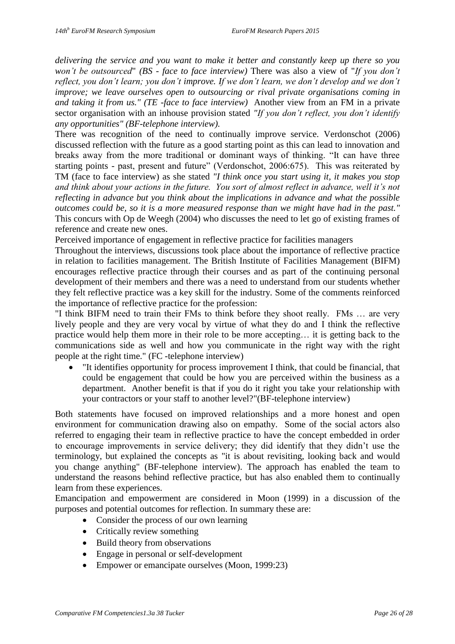*delivering the service and you want to make it better and constantly keep up there so you won't be outsourced*" *(BS - face to face interview)* There was also a view of "*If you don't reflect, you don't learn; you don't improve. If we don't learn, we don't develop and we don't improve; we leave ourselves open to outsourcing or rival private organisations coming in and taking it from us." (TE -face to face interview)* Another view from an FM in a private sector organisation with an inhouse provision stated *"If you don't reflect, you don't identify any opportunities" (BF-telephone interview).*

There was recognition of the need to continually improve service. Verdonschot (2006) discussed reflection with the future as a good starting point as this can lead to innovation and breaks away from the more traditional or dominant ways of thinking. "It can have three starting points - past, present and future" (Verdonschot, 2006:675). This was reiterated by TM (face to face interview) as she stated *"I think once you start using it, it makes you stop and think about your actions in the future. You sort of almost reflect in advance, well it's not reflecting in advance but you think about the implications in advance and what the possible outcomes could be, so it is a more measured response than we might have had in the past."* This concurs with Op de Weegh (2004) who discusses the need to let go of existing frames of reference and create new ones.

Perceived importance of engagement in reflective practice for facilities managers

Throughout the interviews, discussions took place about the importance of reflective practice in relation to facilities management. The British Institute of Facilities Management (BIFM) encourages reflective practice through their courses and as part of the continuing personal development of their members and there was a need to understand from our students whether they felt reflective practice was a key skill for the industry. Some of the comments reinforced the importance of reflective practice for the profession:

"I think BIFM need to train their FMs to think before they shoot really. FMs … are very lively people and they are very vocal by virtue of what they do and I think the reflective practice would help them more in their role to be more accepting… it is getting back to the communications side as well and how you communicate in the right way with the right people at the right time." (FC -telephone interview)

 "It identifies opportunity for process improvement I think, that could be financial, that could be engagement that could be how you are perceived within the business as a department. Another benefit is that if you do it right you take your relationship with your contractors or your staff to another level?"(BF-telephone interview)

Both statements have focused on improved relationships and a more honest and open environment for communication drawing also on empathy. Some of the social actors also referred to engaging their team in reflective practice to have the concept embedded in order to encourage improvements in service delivery; they did identify that they didn't use the terminology, but explained the concepts as "it is about revisiting, looking back and would you change anything" (BF-telephone interview). The approach has enabled the team to understand the reasons behind reflective practice, but has also enabled them to continually learn from these experiences.

Emancipation and empowerment are considered in Moon (1999) in a discussion of the purposes and potential outcomes for reflection. In summary these are:

- Consider the process of our own learning
- Critically review something
- Build theory from observations
- Engage in personal or self-development
- Empower or emancipate ourselves (Moon, 1999:23)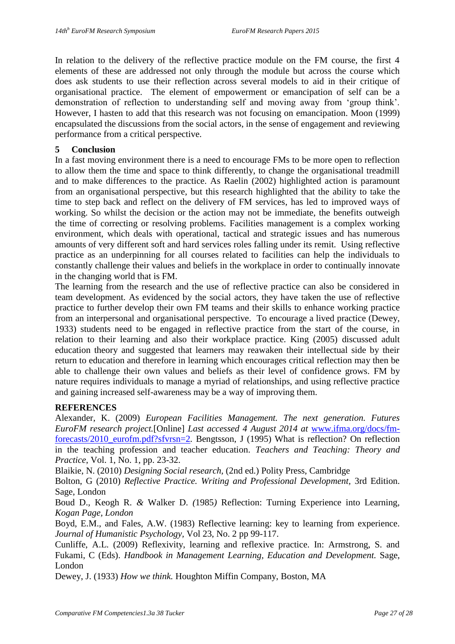In relation to the delivery of the reflective practice module on the FM course, the first 4 elements of these are addressed not only through the module but across the course which does ask students to use their reflection across several models to aid in their critique of organisational practice. The element of empowerment or emancipation of self can be a demonstration of reflection to understanding self and moving away from 'group think'. However, I hasten to add that this research was not focusing on emancipation. Moon (1999) encapsulated the discussions from the social actors, in the sense of engagement and reviewing performance from a critical perspective.

#### **5 Conclusion**

In a fast moving environment there is a need to encourage FMs to be more open to reflection to allow them the time and space to think differently, to change the organisational treadmill and to make differences to the practice. As Raelin (2002) highlighted action is paramount from an organisational perspective, but this research highlighted that the ability to take the time to step back and reflect on the delivery of FM services, has led to improved ways of working. So whilst the decision or the action may not be immediate, the benefits outweigh the time of correcting or resolving problems. Facilities management is a complex working environment, which deals with operational, tactical and strategic issues and has numerous amounts of very different soft and hard services roles falling under its remit. Using reflective practice as an underpinning for all courses related to facilities can help the individuals to constantly challenge their values and beliefs in the workplace in order to continually innovate in the changing world that is FM.

The learning from the research and the use of reflective practice can also be considered in team development. As evidenced by the social actors, they have taken the use of reflective practice to further develop their own FM teams and their skills to enhance working practice from an interpersonal and organisational perspective. To encourage a lived practice (Dewey, 1933) students need to be engaged in reflective practice from the start of the course, in relation to their learning and also their workplace practice. King (2005) discussed adult education theory and suggested that learners may reawaken their intellectual side by their return to education and therefore in learning which encourages critical reflection may then be able to challenge their own values and beliefs as their level of confidence grows. FM by nature requires individuals to manage a myriad of relationships, and using reflective practice and gaining increased self-awareness may be a way of improving them.

#### **REFERENCES**

Alexander, K. (2009) *European Facilities Management. The next generation. Futures EuroFM research project.*[Online] *Last accessed 4 August 2014 at* [www.ifma.org/docs/fm](http://www.ifma.org/docs/fm-forecasts/2010_eurofm.pdf?sfvrsn=2)[forecasts/2010\\_eurofm.pdf?sfvrsn=2](http://www.ifma.org/docs/fm-forecasts/2010_eurofm.pdf?sfvrsn=2). Bengtsson, J (1995) What is reflection? On reflection in the teaching profession and teacher education. *Teachers and Teaching: Theory and Practice*, Vol. 1, No. 1, pp. 23-32.

Blaikie, N. (2010) *Designing Social research,* (2nd ed.) Polity Press, Cambridge

Bolton, G (2010) *Reflective Practice. Writing and Professional Development,* 3rd Edition. Sage, London

Boud D.*,* Keogh R. *&* Walker D. *(*1985*)* Reflection: Turning Experience into Learning*, Kogan Page, London*

Boyd, E.M., and Fales, A.W. (1983) Reflective learning: key to learning from experience. *Journal of Humanistic Psychology,* Vol 23, No. 2 pp 99-117.

Cunliffe, A.L. (2009) Reflexivity, learning and reflexive practice. In: Armstrong, S. and Fukami, C (Eds). *Handbook in Management Learning, Education and Development.* Sage, London

Dewey, J. (1933) *How we think.* Houghton Miffin Company, Boston, MA